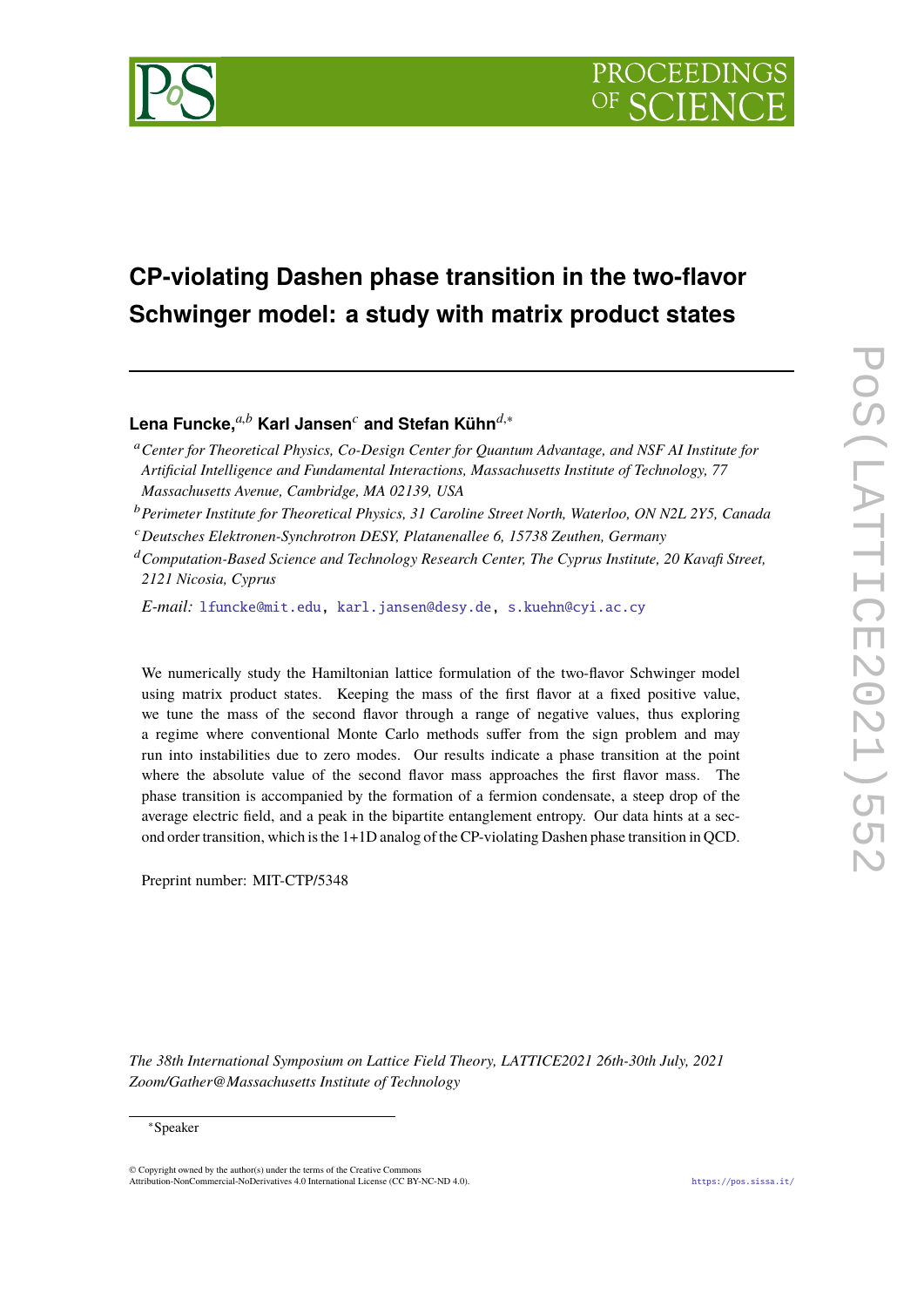

# **CP-violating Dashen phase transition in the two-flavor Schwinger model: a study with matrix product states**

**Lena Funcke,***a*,*<sup>b</sup>* **Karl Jansen***<sup>c</sup>* **and Stefan Kühn***d*,<sup>∗</sup>

<sup>a</sup>*Center for Theoretical Physics, Co-Design Center for Quantum Advantage, and NSF AI Institute for Artificial Intelligence and Fundamental Interactions, Massachusetts Institute of Technology, 77 Massachusetts Avenue, Cambridge, MA 02139, USA*

<sup>b</sup>*Perimeter Institute for Theoretical Physics, 31 Caroline Street North, Waterloo, ON N2L 2Y5, Canada*

<sup>c</sup>*Deutsches Elektronen-Synchrotron DESY, Platanenallee 6, 15738 Zeuthen, Germany*

<sup>d</sup>*Computation-Based Science and Technology Research Center, The Cyprus Institute, 20 Kavafi Street, 2121 Nicosia, Cyprus*

*E-mail:* [lfuncke@mit.edu,](mailto:lfuncke@mit.edu) [karl.jansen@desy.de,](mailto:karl.jansen@desy.de) [s.kuehn@cyi.ac.cy](mailto:s.kuehn@cyi.ac.cy)

We numerically study the Hamiltonian lattice formulation of the two-flavor Schwinger model using matrix product states. Keeping the mass of the first flavor at a fixed positive value, we tune the mass of the second flavor through a range of negative values, thus exploring a regime where conventional Monte Carlo methods suffer from the sign problem and may run into instabilities due to zero modes. Our results indicate a phase transition at the point where the absolute value of the second flavor mass approaches the first flavor mass. The phase transition is accompanied by the formation of a fermion condensate, a steep drop of the average electric field, and a peak in the bipartite entanglement entropy. Our data hints at a second order transition, which is the 1+1D analog of the CP-violating Dashen phase transition in QCD.

Preprint number: MIT-CTP/5348

*The 38th International Symposium on Lattice Field Theory, LATTICE2021 26th-30th July, 2021 Zoom/Gather@Massachusetts Institute of Technology*

© Copyright owned by the author(s) under the terms of the Creative Commons Attribution-NonCommercial-NoDerivatives 4.0 International License (CC BY-NC-ND 4.0). <https://pos.sissa.it/>

<sup>∗</sup>Speaker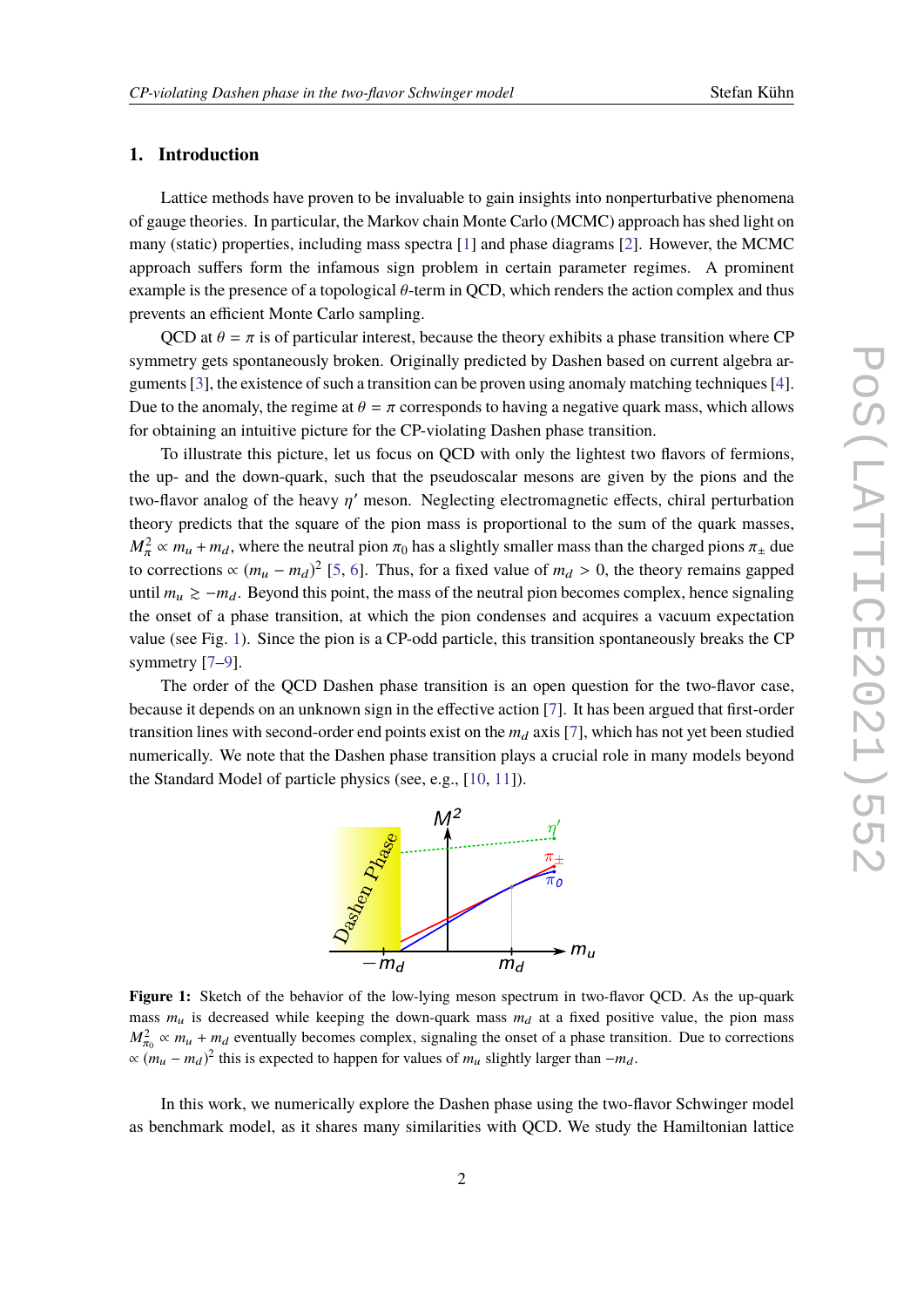## **1. Introduction**

Lattice methods have proven to be invaluable to gain insights into nonperturbative phenomena of gauge theories. In particular, the Markov chain Monte Carlo (MCMC) approach has shed light on many (static) properties, including mass spectra [\[1\]](#page-7-0) and phase diagrams [\[2\]](#page-7-1). However, the MCMC approach suffers form the infamous sign problem in certain parameter regimes. A prominent example is the presence of a topological θ-term in QCD, which renders the action complex and thus prevents an efficient Monte Carlo sampling.

QCD at  $\theta = \pi$  is of particular interest, because the theory exhibits a phase transition where CP symmetry gets spontaneously broken. Originally predicted by Dashen based on current algebra arguments [\[3\]](#page-7-2), the existence of such a transition can be proven using anomaly matching techniques [\[4\]](#page-7-3). Due to the anomaly, the regime at  $\theta = \pi$  corresponds to having a negative quark mass, which allows for obtaining an intuitive picture for the CP-violating Dashen phase transition.

To illustrate this picture, let us focus on QCD with only the lightest two flavors of fermions, the up- and the down-quark, such that the pseudoscalar mesons are given by the pions and the two-flavor analog of the heavy  $\eta'$  meson. Neglecting electromagnetic effects, chiral perturbation<br>theory prodicts that the square of the pion mass is proportional to the sum of the susplimations theory predicts that the square of the pion mass is proportional to the sum of the quark masses,  $M_{\pi}^2 \propto m_u + m_d$ , where the neutral pion  $\pi_0$  has a slightly smaller mass than the charged pions  $\pi_{\pm}$  due to corrections  $\propto (m_u - m_d)^2$  [\[5,](#page-7-4) [6\]](#page-7-5). Thus, for a fixed value of  $m_d > 0$ , the theory remains gapped<br>while  $m_s > m_s$ . Beyond this noint, the mass of the neutral rior because complex, hence cionaling until  $m_u \ge -m_d$ . Beyond this point, the mass of the neutral pion becomes complex, hence signaling the onset of a phase transition, at which the pion condenses and acquires a vacuum expectation value (see Fig. [1\)](#page-1-0). Since the pion is a CP-odd particle, this transition spontaneously breaks the CP symmetry [\[7](#page-7-6)[–9\]](#page-7-7).

<span id="page-1-0"></span>The order of the QCD Dashen phase transition is an open question for the two-flavor case, because it depends on an unknown sign in the effective action [\[7\]](#page-7-6). It has been argued that first-order transition lines with second-order end points exist on the  $m_d$  axis [\[7\]](#page-7-6), which has not yet been studied numerically. We note that the Dashen phase transition plays a crucial role in many models beyond the Standard Model of particle physics (see, e.g., [\[10,](#page-7-8) [11\]](#page-7-9)).



**Figure 1:** Sketch of the behavior of the low-lying meson spectrum in two-flavor OCD. As the up-quark mass  $m_u$  is decreased while keeping the down-quark mass  $m_d$  at a fixed positive value, the pion mass  $M_{\pi_0}^2 \propto m_u + m_d$  eventually becomes complex, signaling the onset of a phase transition. Due to corrections  $\propto (m_u - m_d)^2$  this is expected to happen for values of  $m_u$  slightly larger than  $-m_d$ .

In this work, we numerically explore the Dashen phase using the two-flavor Schwinger model as benchmark model, as it shares many similarities with QCD. We study the Hamiltonian lattice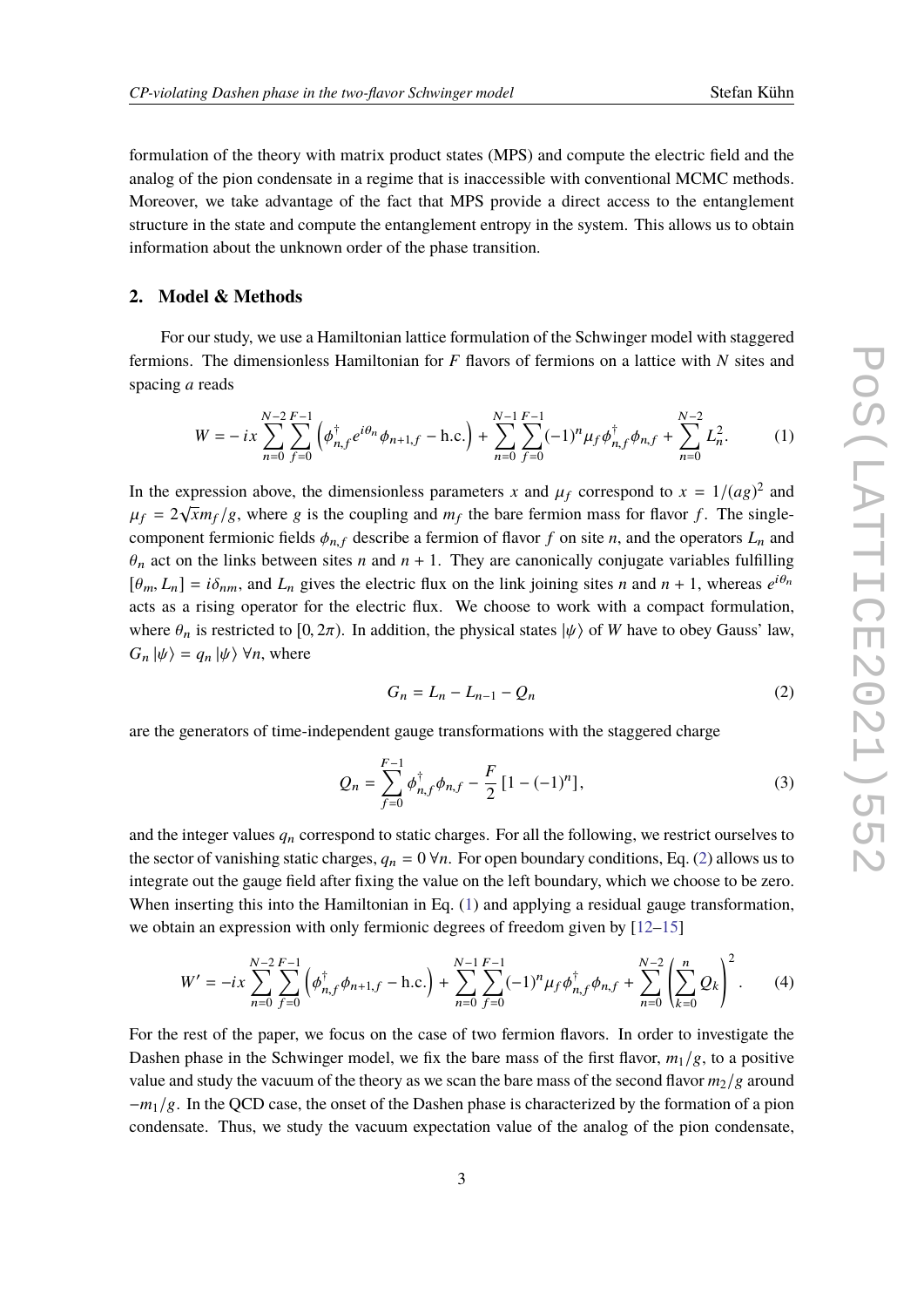formulation of the theory with matrix product states (MPS) and compute the electric field and the analog of the pion condensate in a regime that is inaccessible with conventional MCMC methods. Moreover, we take advantage of the fact that MPS provide a direct access to the entanglement structure in the state and compute the entanglement entropy in the system. This allows us to obtain information about the unknown order of the phase transition.

## **2. Model & Methods**

For our study, we use a Hamiltonian lattice formulation of the Schwinger model with staggered fermions. The dimensionless Hamiltonian for *F* flavors of fermions on a lattice with *N* sites and spacing *a* reads

$$
W = -ix \sum_{n=0}^{N-2} \sum_{f=0}^{F-1} \left( \phi_{n,f}^{\dagger} e^{i\theta_n} \phi_{n+1,f} - \text{h.c.} \right) + \sum_{n=0}^{N-1} \sum_{f=0}^{F-1} (-1)^n \mu_f \phi_{n,f}^{\dagger} \phi_{n,f} + \sum_{n=0}^{N-2} L_n^2. \tag{1}
$$

In the expression above, the dimensionless parameters *x* and  $\mu_f$  correspond to  $x = 1/(ag)^2$  and  $\mu_f = 2\sqrt{m}m$ , (a where a is the equaling and  $m$ , the hap farmion mass for flavor f. The cincle  $\mu_f = 2\sqrt{x}m_f/g$ , where g is the coupling and  $m_f$  the bare fermion mass for flavor *f*. The single-<br>compared fermionic fields *t* describe a fermion of flavor *f* on site *y* and the approximal and component fermionic fields  $\phi_{n,f}$  describe a fermion of flavor *f* on site *n*, and the operators  $L_n$  and  $\theta_n$  act on the links between sites *n* and  $n + 1$ . They are canonically conjugate variables fulfilling  $[\theta_m, L_n] = i\delta_{nm}$ , and  $L_n$  gives the electric flux on the link joining sites *n* and  $n + 1$ , whereas  $e^{i\theta_n}$ acts as a rising operator for the electric flux. We choose to work with a compact formulation, where  $\theta_n$  is restricted to [0, 2 $\pi$ ). In addition, the physical states  $|\psi\rangle$  of *W* have to obey Gauss' law,  $G_n |\psi\rangle = q_n |\psi\rangle \ \forall n$ , where

<span id="page-2-1"></span><span id="page-2-0"></span>
$$
G_n = L_n - L_{n-1} - Q_n \tag{2}
$$

are the generators of time-independent gauge transformations with the staggered charge

$$
Q_n = \sum_{f=0}^{F-1} \phi_{n,f}^{\dagger} \phi_{n,f} - \frac{F}{2} \left[ 1 - (-1)^n \right],
$$
 (3)

and the integer values  $q_n$  correspond to static charges. For all the following, we restrict ourselves to the sector of vanishing static charges,  $q_n = 0 \forall n$ . For open boundary conditions, Eq. [\(2\)](#page-2-0) allows us to integrate out the gauge field after fixing the value on the left boundary, which we choose to be zero. When inserting this into the Hamiltonian in Eq. [\(1\)](#page-2-1) and applying a residual gauge transformation, we obtain an expression with only fermionic degrees of freedom given by [\[12](#page-8-0)[–15\]](#page-8-1)

$$
W' = -ix \sum_{n=0}^{N-2} \sum_{f=0}^{F-1} \left( \phi_{n,f}^{\dagger} \phi_{n+1,f} - \text{h.c.} \right) + \sum_{n=0}^{N-1} \sum_{f=0}^{F-1} (-1)^n \mu_f \phi_{n,f}^{\dagger} \phi_{n,f} + \sum_{n=0}^{N-2} \left( \sum_{k=0}^n Q_k \right)^2. \tag{4}
$$

For the rest of the paper, we focus on the case of two fermion flavors. In order to investigate the Dashen phase in the Schwinger model, we fix the bare mass of the first flavor,  $m_1/g$ , to a positive value and study the vacuum of the theory as we scan the bare mass of the second flavor  $m_2/g$  around −*m*1/g. In the QCD case, the onset of the Dashen phase is characterized by the formation of a pion condensate. Thus, we study the vacuum expectation value of the analog of the pion condensate,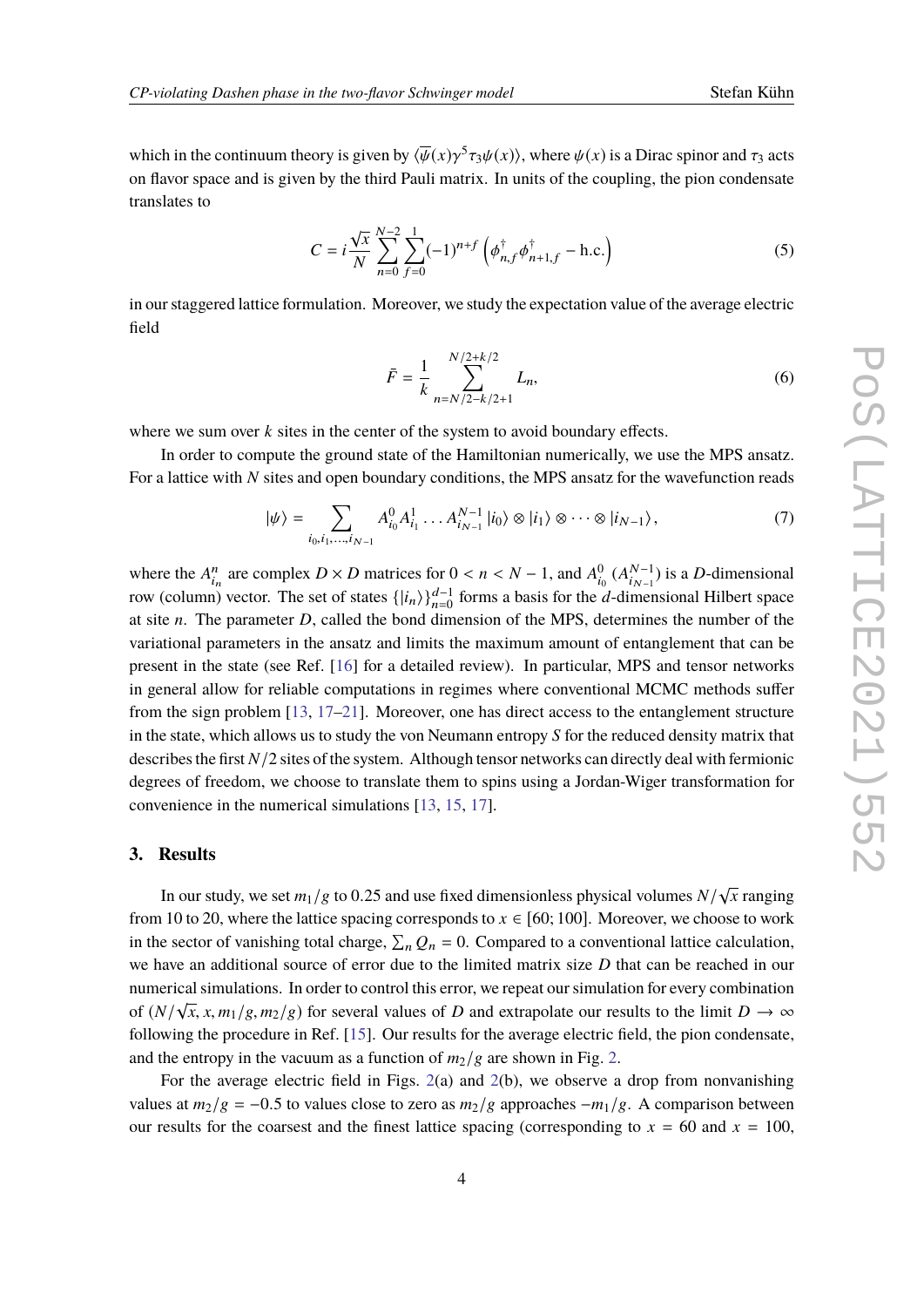which in the continuum theory is given by  $\langle \overline{\psi}(x) \gamma^5 \tau_3 \psi(x) \rangle$ , where  $\psi(x)$  is a Dirac spinor and  $\tau_3$  acts on flavor space and is given by the third Pauli matrix. In units of the coupling, the pion condensate translates to

$$
C = i \frac{\sqrt{x}}{N} \sum_{n=0}^{N-2} \sum_{f=0}^{1} (-1)^{n+f} \left( \phi_{n,f}^{\dagger} \phi_{n+1,f}^{\dagger} - \text{h.c.} \right)
$$
(5)

in our staggered lattice formulation. Moreover, we study the expectation value of the average electric field

<span id="page-3-0"></span>
$$
\bar{F} = \frac{1}{k} \sum_{n=N/2-k/2+1}^{N/2+k/2} L_n,
$$
\n(6)

where we sum over  $k$  sites in the center of the system to avoid boundary effects.

In order to compute the ground state of the Hamiltonian numerically, we use the MPS ansatz. For a lattice with *N* sites and open boundary conditions, the MPS ansatz for the wavefunction reads

$$
|\psi\rangle = \sum_{i_0, i_1, \dots, i_{N-1}} A_{i_0}^0 A_{i_1}^1 \dots A_{i_{N-1}}^{N-1} |i_0\rangle \otimes |i_1\rangle \otimes \dots \otimes |i_{N-1}\rangle, \tag{7}
$$

where the  $A_{i_n}^n$  are complex  $D \times D$  matrices for  $0 < n < N - 1$ , and  $A_{i_0}^0 (A_{i_{N-1}}^{N-1}$  $\binom{N-1}{i_{N-1}}$  is a *D*-dimensional row (column) vector. The set of states  $\{|i_n\rangle\}_{n=0}^{d-1}$  forms a basis for the *d*-dimensional Hilbert space at site *n*. The parameter *D*, called the bond dimension of the MPS, determines the number of the variational parameters in the ansatz and limits the maximum amount of entanglement that can be present in the state (see Ref. [\[16\]](#page-8-2) for a detailed review). In particular, MPS and tensor networks in general allow for reliable computations in regimes where conventional MCMC methods suffer from the sign problem [\[13,](#page-8-3) [17–](#page-8-4)[21\]](#page-8-5). Moreover, one has direct access to the entanglement structure in the state, which allows us to study the von Neumann entropy *S* for the reduced density matrix that describes the first *N*/2 sites of the system. Although tensor networks can directly deal with fermionic degrees of freedom, we choose to translate them to spins using a Jordan-Wiger transformation for convenience in the numerical simulations [\[13,](#page-8-3) [15,](#page-8-1) [17\]](#page-8-4).

#### **3. Results**

In our study, we set  $m_1/g$  to 0.25 and use fixed dimensionless physical volumes  $N/\sqrt{2.29}$  where the lettice energies corresponds to  $v \in [60, 100]$ . Mereover, we also *x* ranging from 10 to 20, where the lattice spacing corresponds to  $x \in [60; 100]$ . Moreover, we choose to work in the sector of vanishing total charge,  $\sum_n Q_n = 0$ . Compared to a conventional lattice calculation, we have an additional source of error due to the limited matrix size *D* that can be reached in our numerical simulations. In order to control this error, we repeat our simulation for every combination of  $(N/\sqrt{x}, x, m_1/g, m_2/g)$  for several values of *D* and extrapolate our results to the limit  $D \to \infty$ <br>following the researching in Ref. [15]. Our results for the systems algebra field, the nion condensate following the procedure in Ref. [\[15\]](#page-8-1). Our results for the average electric field, the pion condensate, and the entropy in the vacuum as a function of  $m_2/g$  are shown in Fig. [2.](#page-4-0)

For the average electric field in Figs. [2\(](#page-4-0)a) and 2(b), we observe a drop from nonvanishing values at  $m_2/g = -0.5$  to values close to zero as  $m_2/g$  approaches  $-m_1/g$ . A comparison between our results for the coarsest and the finest lattice spacing (corresponding to  $x = 60$  and  $x = 100$ ,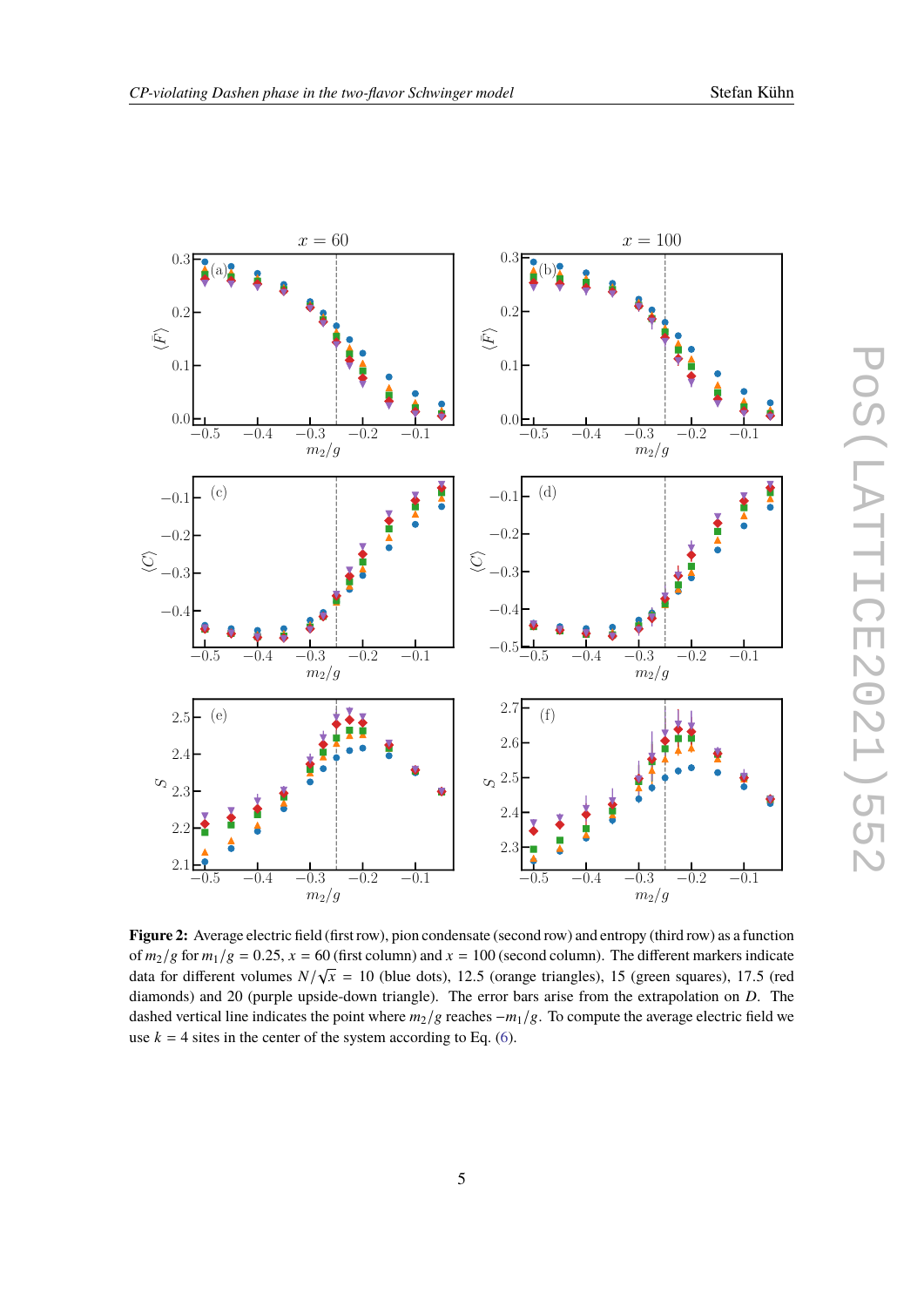<span id="page-4-0"></span>

**Figure 2:** Average electric field (first row), pion condensate (second row) and entropy (third row) as a function of  $m_2/g$  for  $m_1/g = 0.25$ ,  $x = 60$  (first column) and  $x = 100$  (second column). The different markers indicate<br>data for different volumes  $N/\sqrt{x} = 10$  (blue data), 12.5 (grapes triangles), 15 (grapes causes), 17.5 (grad data for different volumes  $N/\sqrt{x} = 10$  (blue dots), 12.5 (orange triangles), 15 (green squares), 17.5 (red<br>diamonda) and 20 (purple uncide down triangle). The error hars arise from the extrapelation on D. The diamonds) and 20 (purple upside-down triangle). The error bars arise from the extrapolation on *D*. The dashed vertical line indicates the point where *m*2/g reaches −*m*1/g. To compute the average electric field we use  $k = 4$  sites in the center of the system according to Eq. [\(6\)](#page-3-0).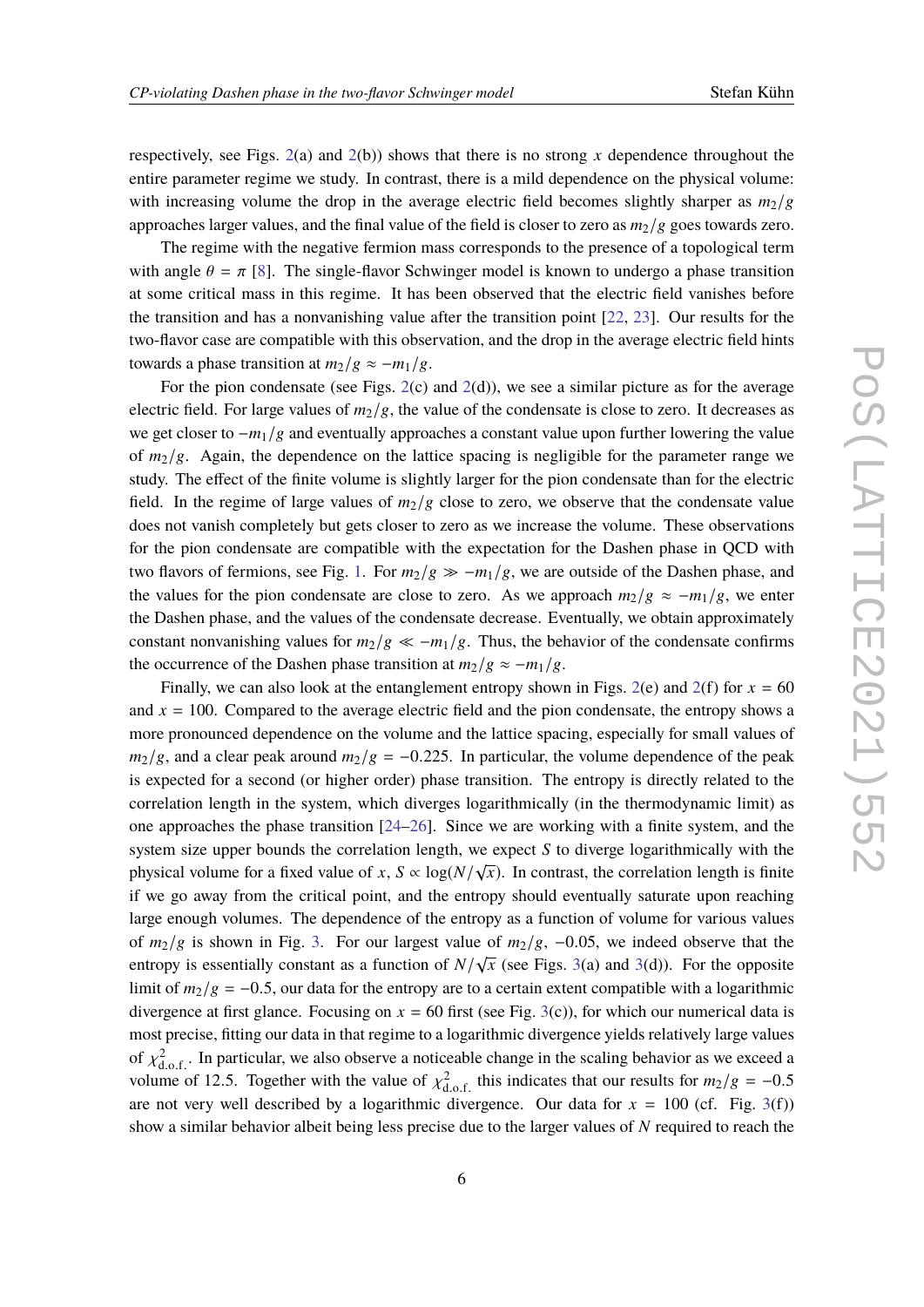respectively, see Figs. [2\(](#page-4-0)a) and [2\(](#page-4-0)b)) shows that there is no strong *x* dependence throughout the entire parameter regime we study. In contrast, there is a mild dependence on the physical volume: with increasing volume the drop in the average electric field becomes slightly sharper as  $m_2/g$ approaches larger values, and the final value of the field is closer to zero as  $m_2/g$  goes towards zero.

The regime with the negative fermion mass corresponds to the presence of a topological term with angle  $\theta = \pi$  [\[8\]](#page-7-10). The single-flavor Schwinger model is known to undergo a phase transition at some critical mass in this regime. It has been observed that the electric field vanishes before the transition and has a nonvanishing value after the transition point [\[22,](#page-8-6) [23\]](#page-8-7). Our results for the two-flavor case are compatible with this observation, and the drop in the average electric field hints towards a phase transition at  $m_2/g \approx -m_1/g$ .

For the pion condensate (see Figs.  $2(c)$  $2(c)$  and  $2(d)$ ), we see a similar picture as for the average electric field. For large values of  $m_2/g$ , the value of the condensate is close to zero. It decreases as we get closer to −*m*1/g and eventually approaches a constant value upon further lowering the value of *m*2/g. Again, the dependence on the lattice spacing is negligible for the parameter range we study. The effect of the finite volume is slightly larger for the pion condensate than for the electric field. In the regime of large values of  $m_2/g$  close to zero, we observe that the condensate value does not vanish completely but gets closer to zero as we increase the volume. These observations for the pion condensate are compatible with the expectation for the Dashen phase in QCD with two flavors of fermions, see Fig. [1.](#page-1-0) For  $m_2/g \gg -m_1/g$ , we are outside of the Dashen phase, and the values for the pion condensate are close to zero. As we approach  $m_2/g \approx -m_1/g$ , we enter the Dashen phase, and the values of the condensate decrease. Eventually, we obtain approximately constant nonvanishing values for  $m_2/g \ll -m_1/g$ . Thus, the behavior of the condensate confirms the occurrence of the Dashen phase transition at  $m_2/g \approx -m_1/g$ .

Finally, we can also look at the entanglement entropy shown in Figs. [2\(](#page-4-0)e) and 2(f) for  $x = 60$ and  $x = 100$ . Compared to the average electric field and the pion condensate, the entropy shows a more pronounced dependence on the volume and the lattice spacing, especially for small values of  $m_2/g$ , and a clear peak around  $m_2/g = -0.225$ . In particular, the volume dependence of the peak is expected for a second (or higher order) phase transition. The entropy is directly related to the correlation length in the system, which diverges logarithmically (in the thermodynamic limit) as one approaches the phase transition [\[24–](#page-8-8)[26\]](#page-8-9). Since we are working with a finite system, and the system size upper bounds the correlation length, we expect *S* to diverge logarithmically with the physical volume for a fixed value of *x*,  $S \propto \log(N/\sqrt{x})$ . In contrast, the correlation length is finite if we go away from the critical point, and the entropy should eventually saturate upon reaching large enough volumes. The dependence of the entropy as a function of volume for various values of *<sup>m</sup>*2/<sup>g</sup> is shown in Fig. [3.](#page-6-0) For our largest value of *<sup>m</sup>*2/g, <sup>−</sup>0.05, we indeed observe that the entropy is essentially constant as a function of  $N/\sqrt{ }$  $\overline{x}$  (see Figs. [3\(](#page-6-0)a) and 3(d)). For the opposite limit of  $m_2/g = -0.5$ , our data for the entropy are to a certain extent compatible with a logarithmic divergence at first glance. Focusing on  $x = 60$  first (see Fig. [3\(](#page-6-0)c)), for which our numerical data is most precise, fitting our data in that regime to a logarithmic divergence yields relatively large values of  $\chi^2_{\text{d.o.f.}}$ . In particular, we also observe a noticeable change in the scaling behavior as we exceed a value of  $\chi^2_{\text{d.o.f.}}$  $\frac{d.o.f.}{m.o.}$ volume of 12.5. Together with the value of  $\chi^2_{\text{d.o.f.}}$  this indicates that our results for  $m_2/g = -0.5$ <br>organization of very well described by a logarithmic divergence. Our data for  $x = 100$  (of Fig. 3(f)) are not very well described by a logarithmic divergence. Our data for  $x = 100$  (cf. Fig. [3\(](#page-6-0)f)) show a similar behavior albeit being less precise due to the larger values of *N* required to reach the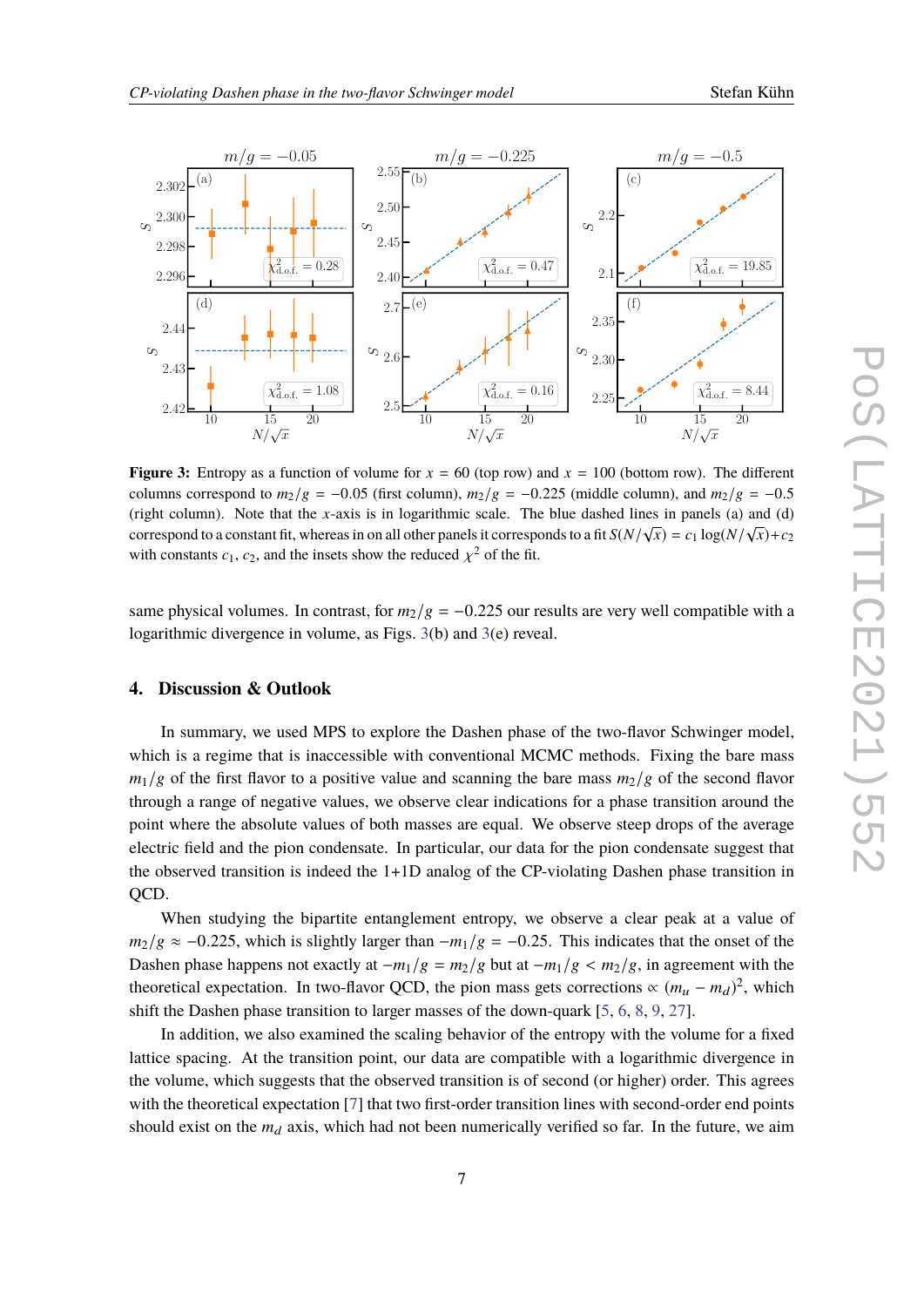<span id="page-6-0"></span>

**Figure 3:** Entropy as a function of volume for  $x = 60$  (top row) and  $x = 100$  (bottom row). The different columns correspond to  $m_2/g = -0.05$  (first column),  $m_2/g = -0.225$  (middle column), and  $m_2/g = -0.5$ (right column). Note that the *x*-axis is in logarithmic scale. The blue dashed lines in panels (a) and (d) correspond to a constant fit, whereas in on all other panels it corresponds to a fit  $S(N/\sqrt{x}) = c_1 \log(N/\sqrt{x}) + c_2$ with constants  $c_1$ ,  $c_2$ , and the insets show the reduced  $\chi^2$  of the fit.

same physical volumes. In contrast, for  $m_2/g = -0.225$  our results are very well compatible with a logarithmic divergence in volume, as Figs. [3\(](#page-6-0)b) and [3\(](#page-6-0)e) reveal.

## **4. Discussion & Outlook**

In summary, we used MPS to explore the Dashen phase of the two-flavor Schwinger model, which is a regime that is inaccessible with conventional MCMC methods. Fixing the bare mass  $m_1/g$  of the first flavor to a positive value and scanning the bare mass  $m_2/g$  of the second flavor through a range of negative values, we observe clear indications for a phase transition around the point where the absolute values of both masses are equal. We observe steep drops of the average electric field and the pion condensate. In particular, our data for the pion condensate suggest that the observed transition is indeed the 1+1D analog of the CP-violating Dashen phase transition in OCD.

When studying the bipartite entanglement entropy, we observe a clear peak at a value of  $m_2/g \approx -0.225$ , which is slightly larger than  $-m_1/g = -0.25$ . This indicates that the onset of the Dashen phase happens not exactly at  $-m_1/g = m_2/g$  but at  $-m_1/g < m_2/g$ , in agreement with the theoretical expectation. In two-flavor QCD, the pion mass gets corrections  $\propto (m_u - m_d)^2$ , which shift the Dashen phase transition to larger masses of the down-quark [\[5,](#page-7-4) [6,](#page-7-5) [8,](#page-7-10) [9,](#page-7-7) [27\]](#page-8-10).

In addition, we also examined the scaling behavior of the entropy with the volume for a fixed lattice spacing. At the transition point, our data are compatible with a logarithmic divergence in the volume, which suggests that the observed transition is of second (or higher) order. This agrees with the theoretical expectation [\[7\]](#page-7-6) that two first-order transition lines with second-order end points should exist on the  $m_d$  axis, which had not been numerically verified so far. In the future, we aim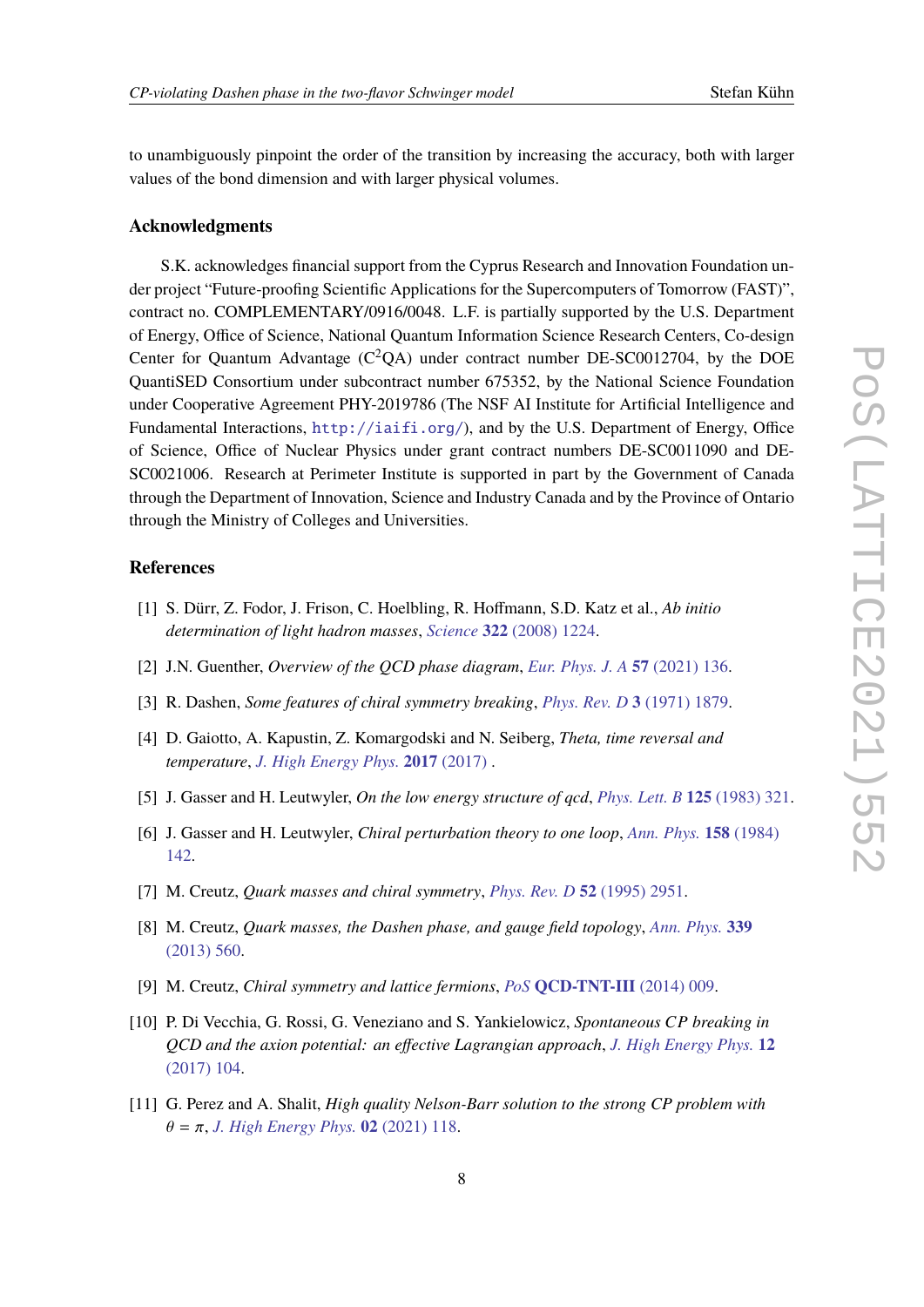to unambiguously pinpoint the order of the transition by increasing the accuracy, both with larger values of the bond dimension and with larger physical volumes.

#### **Acknowledgments**

S.K. acknowledges financial support from the Cyprus Research and Innovation Foundation under project "Future-proofing Scientific Applications for the Supercomputers of Tomorrow (FAST)", contract no. COMPLEMENTARY/0916/0048. L.F. is partially supported by the U.S. Department of Energy, Office of Science, National Quantum Information Science Research Centers, Co-design Center for Quantum Advantage  $(C^2QA)$  under contract number DE-SC0012704, by the DOE QuantiSED Consortium under subcontract number 675352, by the National Science Foundation under Cooperative Agreement PHY-2019786 (The NSF AI Institute for Artificial Intelligence and Fundamental Interactions, <http://iaifi.org/>), and by the U.S. Department of Energy, Office of Science, Office of Nuclear Physics under grant contract numbers DE-SC0011090 and DE-SC0021006. Research at Perimeter Institute is supported in part by the Government of Canada through the Department of Innovation, Science and Industry Canada and by the Province of Ontario through the Ministry of Colleges and Universities.

## **References**

- <span id="page-7-0"></span>[1] S. Dürr, Z. Fodor, J. Frison, C. Hoelbling, R. Hoffmann, S.D. Katz et al., *Ab initio determination of light hadron masses*, *Science* **322** [\(2008\) 1224.](https://doi.org/10.1126/science.1163233)
- <span id="page-7-1"></span>[2] J.N. Guenther, *Overview of the QCD phase diagram*, *[Eur. Phys. J. A](https://doi.org/10.1140/epja/s10050-021-00354-6)* **57** (2021) 136.
- <span id="page-7-2"></span>[3] R. Dashen, *Some features of chiral symmetry breaking*, *[Phys. Rev. D](https://doi.org/10.1103/PhysRevD.3.1879)* **3** (1971) 1879.
- <span id="page-7-3"></span>[4] D. Gaiotto, A. Kapustin, Z. Komargodski and N. Seiberg, *Theta, time reversal and temperature*, *[J. High Energy Phys.](https://doi.org/10.1007/jhep05(2017)091)* **2017** (2017) .
- <span id="page-7-4"></span>[5] J. Gasser and H. Leutwyler, *On the low energy structure of qcd*, *[Phys. Lett. B](https://doi.org/https://doi.org/10.1016/0370-2693(83)91293-5)* **125** (1983) 321.
- <span id="page-7-5"></span>[6] J. Gasser and H. Leutwyler, *Chiral perturbation theory to one loop*, *[Ann. Phys.](https://doi.org/https://doi.org/10.1016/0003-4916(84)90242-2)* **158** (1984) [142.](https://doi.org/https://doi.org/10.1016/0003-4916(84)90242-2)
- <span id="page-7-6"></span>[7] M. Creutz, *Quark masses and chiral symmetry*, *[Phys. Rev. D](https://doi.org/10.1103/PhysRevD.52.2951)* **52** (1995) 2951.
- <span id="page-7-10"></span>[8] M. Creutz, *Quark masses, the Dashen phase, and gauge field topology*, *[Ann. Phys.](https://doi.org/https://doi.org/10.1016/j.aop.2013.10.003)* **339** [\(2013\) 560.](https://doi.org/https://doi.org/10.1016/j.aop.2013.10.003)
- <span id="page-7-7"></span>[9] M. Creutz, *Chiral symmetry and lattice fermions*, *PoS* **[QCD-TNT-III](https://doi.org/10.22323/1.193.0009)** (2014) 009.
- <span id="page-7-8"></span>[10] P. Di Vecchia, G. Rossi, G. Veneziano and S. Yankielowicz, *Spontaneous CP breaking in QCD and the axion potential: an effective Lagrangian approach*, *[J. High Energy Phys.](https://doi.org/10.1007/JHEP12(2017)104)* **12** [\(2017\) 104.](https://doi.org/10.1007/JHEP12(2017)104)
- <span id="page-7-9"></span>[11] G. Perez and A. Shalit, *High quality Nelson-Barr solution to the strong CP problem with*  $θ = π, J. High Energy Phys.$  $θ = π, J. High Energy Phys.$  **02** (2021) 118.